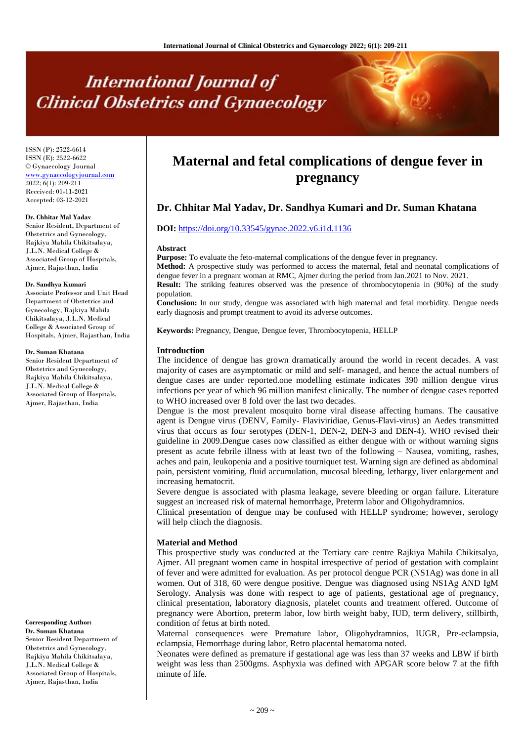# **International Journal of Clinical Obstetrics and Gynaecology**

ISSN (P): 2522-6614 ISSN (E): 2522-6622 © Gynaecology Journal <www.gynaecologyjournal.com> 2022; 6(1): 209-211 Received: 01-11-2021 Accepted: 03-12-2021

#### **Dr. Chhitar Mal Yadav**

Senior Resident, Department of Obstetrics and Gynecology, Rajkiya Mahila Chikitsalaya, J.L.N. Medical College & Associated Group of Hospitals, Ajmer, Rajasthan, India

#### **Dr. Sandhya Kumari**

Associate Professor and Unit Head Department of Obstetrics and Gynecology, Rajkiya Mahila Chikitsalaya, J.L.N. Medical College & Associated Group of Hospitals, Ajmer, Rajasthan, India

#### **Dr. Suman Khatana**

Senior Resident Department of Obstetrics and Gynecology, Rajkiya Mahila Chikitsalaya, J.L.N. Medical College & Associated Group of Hospitals, Ajmer, Rajasthan, India

## **Corresponding Author:**

**Dr. Suman Khatana** Senior Resident Department of Obstetrics and Gynecology, Rajkiya Mahila Chikitsalaya, J.L.N. Medical College & Associated Group of Hospitals, Ajmer, Rajasthan, India

# **Maternal and fetal complications of dengue fever in pregnancy**

# **Dr. Chhitar Mal Yadav, Dr. Sandhya Kumari and Dr. Suman Khatana**

## **DOI:** <https://doi.org/10.33545/gynae.2022.v6.i1d.1136>

#### **Abstract**

**Purpose:** To evaluate the feto-maternal complications of the dengue fever in pregnancy.

**Method:** A prospective study was performed to access the maternal, fetal and neonatal complications of dengue fever in a pregnant woman at RMC, Ajmer during the period from Jan.2021 to Nov. 2021.

**Result:** The striking features observed was the presence of thrombocytopenia in (90%) of the study population.

**Conclusion:** In our study, dengue was associated with high maternal and fetal morbidity. Dengue needs early diagnosis and prompt treatment to avoid its adverse outcomes.

**Keywords:** Pregnancy, Dengue, Dengue fever, Thrombocytopenia, HELLP

#### **Introduction**

The incidence of dengue has grown dramatically around the world in recent decades. A vast majority of cases are asymptomatic or mild and self- managed, and hence the actual numbers of dengue cases are under reported.one modelling estimate indicates 390 million dengue virus infections per year of which 96 million manifest clinically. The number of dengue cases reported to WHO increased over 8 fold over the last two decades.

Dengue is the most prevalent mosquito borne viral disease affecting humans. The causative agent is Dengue virus (DENV, Family- Flaviviridiae, Genus-Flavi-virus) an Aedes transmitted virus that occurs as four serotypes (DEN-1, DEN-2, DEN-3 and DEN-4). WHO revised their guideline in 2009.Dengue cases now classified as either dengue with or without warning signs present as acute febrile illness with at least two of the following – Nausea, vomiting, rashes, aches and pain, leukopenia and a positive tourniquet test. Warning sign are defined as abdominal pain, persistent vomiting, fluid accumulation, mucosal bleeding, lethargy, liver enlargement and increasing hematocrit.

Severe dengue is associated with plasma leakage, severe bleeding or organ failure. Literature suggest an increased risk of maternal hemorrhage, Preterm labor and Oligohydramnios.

Clinical presentation of dengue may be confused with HELLP syndrome; however, serology will help clinch the diagnosis.

#### **Material and Method**

This prospective study was conducted at the Tertiary care centre Rajkiya Mahila Chikitsalya, Ajmer. All pregnant women came in hospital irrespective of period of gestation with complaint of fever and were admitted for evaluation. As per protocol dengue PCR (NS1Ag) was done in all women. Out of 318, 60 were dengue positive. Dengue was diagnosed using NS1Ag AND IgM Serology. Analysis was done with respect to age of patients, gestational age of pregnancy, clinical presentation, laboratory diagnosis, platelet counts and treatment offered. Outcome of pregnancy were Abortion, preterm labor, low birth weight baby, IUD, term delivery, stillbirth, condition of fetus at birth noted.

Maternal consequences were Premature labor, Oligohydramnios, IUGR, Pre-eclampsia, eclampsia, Hemorrhage during labor, Retro placental hematoma noted.

Neonates were defined as premature if gestational age was less than 37 weeks and LBW if birth weight was less than 2500gms. Asphyxia was defined with APGAR score below 7 at the fifth minute of life.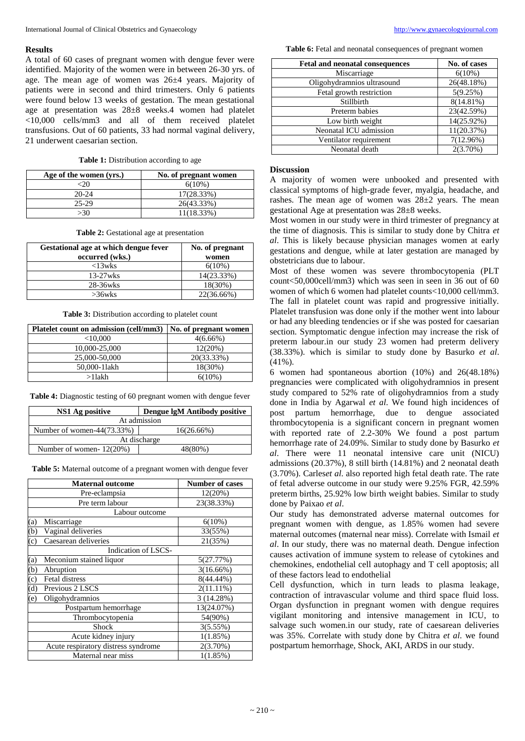#### **Results**

A total of 60 cases of pregnant women with dengue fever were identified. Majority of the women were in between 26-30 yrs. of age. The mean age of women was 26±4 years. Majority of patients were in second and third trimesters. Only 6 patients were found below 13 weeks of gestation. The mean gestational age at presentation was 28±8 weeks.4 women had platelet <10,000 cells/mm3 and all of them received platelet transfusions. Out of 60 patients, 33 had normal vaginal delivery, 21 underwent caesarian section.

**Table 1:** Distribution according to age

| Age of the women (yrs.) | No. of pregnant women |
|-------------------------|-----------------------|
|                         | $6(10\%)$             |
| $20-24$                 | 17(28.33%)            |
| 25-29                   | 26(43.33%)            |
| >30                     | 11(18.33%)            |

**Table 2:** Gestational age at presentation

| Gestational age at which dengue fever<br>occurred (wks.) | No. of pregnant<br>women |
|----------------------------------------------------------|--------------------------|
| $<$ 13wks                                                | $6(10\%)$                |
| $13-27$ wks                                              | 14(23.33%)               |
| 28-36wks                                                 | 18(30%)                  |
| $>36$ wks                                                | 22(36.66%)               |

**Table 3:** Distribution according to platelet count

| Platelet count on admission (cell/mm3) | No. of pregnant women |
|----------------------------------------|-----------------------|
| $<$ 10,000                             | $4(6.66\%)$           |
| 10,000-25,000                          | 12(20%)               |
| 25,000-50,000                          | 20(33.33%)            |
| 50,000-11akh                           | 18(30%)               |
| $>1$ lakh                              | $6(10\%)$             |

**Table 4:** Diagnostic testing of 60 pregnant women with dengue fever

| NS1 Ag positive                | Dengue lgM Antibody positive |  |
|--------------------------------|------------------------------|--|
| At admission                   |                              |  |
| Number of women- $44(73.33\%)$ | 16(26.66%)                   |  |
| At discharge                   |                              |  |
| Number of women- $12(20%)$     | 48(80%)                      |  |

**Table 5:** Maternal outcome of a pregnant women with dengue fever

|                                                    | <b>Maternal outcome</b>             | <b>Number of cases</b> |  |  |
|----------------------------------------------------|-------------------------------------|------------------------|--|--|
|                                                    | Pre-eclampsia                       | 12(20%)                |  |  |
|                                                    | Pre term labour                     | 23(38.33%)             |  |  |
| Labour outcome                                     |                                     |                        |  |  |
| (a)                                                | Miscarriage                         | $6(10\%)$              |  |  |
| (b)                                                | Vaginal deliveries                  | 33(55%)                |  |  |
| (c)                                                | Caesarean deliveries                | 21(35%)                |  |  |
|                                                    | Indication of LSCS-                 |                        |  |  |
| (a)                                                | Meconium stained liquor             | 5(27.77%)              |  |  |
| (b)                                                | Abruption                           | $3(16.66\%)$           |  |  |
| $\left( c\right)$                                  | <b>Fetal distress</b>               | 8(44.44%)              |  |  |
| (d)                                                | Previous 2 LSCS                     | $2(11.11\%)$           |  |  |
| (e)                                                | Oligohydramnios                     | 3 (14.28%)             |  |  |
| Postpartum hemorrhage<br>Thrombocytopenia<br>Shock | 13(24.07%)                          |                        |  |  |
|                                                    | 54(90%)                             |                        |  |  |
|                                                    | 3(5.55%)                            |                        |  |  |
|                                                    | Acute kidney injury                 | 1(1.85%)               |  |  |
|                                                    | Acute respiratory distress syndrome | 2(3.70%)               |  |  |
| Maternal near miss                                 |                                     | 1(1.85%)               |  |  |

**Table 6:** Fetal and neonatal consequences of pregnant women

| <b>Fetal and neonatal consequences</b> | No. of cases |
|----------------------------------------|--------------|
| Miscarriage                            | $6(10\%)$    |
| Oligohydramnios ultrasound             | 26(48.18%)   |
| Fetal growth restriction               | 5(9.25%)     |
| Stillbirth                             | $8(14.81\%)$ |
| Preterm babies                         | 23(42.59%)   |
| Low birth weight                       | 14(25.92%)   |
| Neonatal ICU admission                 | 11(20.37%)   |
| Ventilator requirement                 | $7(12.96\%)$ |
| Neonatal death                         | $2(3.70\%)$  |

#### **Discussion**

A majority of women were unbooked and presented with classical symptoms of high-grade fever, myalgia, headache, and rashes. The mean age of women was  $28\pm2$  years. The mean gestational Age at presentation was 28±8 weeks.

Most women in our study were in third trimester of pregnancy at the time of diagnosis. This is similar to study done by Chitra *et al*. This is likely because physician manages women at early gestations and dengue, while at later gestation are managed by obstetricians due to labour.

Most of these women was severe thrombocytopenia (PLT count<50,000cell/mm3) which was seen in seen in 36 out of 60 women of which 6 women had platelet counts<10,000 cell/mm3. The fall in platelet count was rapid and progressive initially. Platelet transfusion was done only if the mother went into labour or had any bleeding tendencies or if she was posted for caesarian section. Symptomatic dengue infection may increase the risk of preterm labour.in our study 23 women had preterm delivery (38.33%). which is similar to study done by Basurko *et al*. (41%).

6 women had spontaneous abortion (10%) and 26(48.18%) pregnancies were complicated with oligohydramnios in present study compared to 52% rate of oligohydramnios from a study done in India by Agarwal *et al*. We found high incidences of post partum hemorrhage, due to dengue associated thrombocytopenia is a significant concern in pregnant women with reported rate of 2.2-30% We found a post partum hemorrhage rate of 24.09%. Similar to study done by Basurko *et al*. There were 11 neonatal intensive care unit (NICU) admissions (20.37%), 8 still birth (14.81%) and 2 neonatal death (3.70%). Carles*et al*. also reported high fetal death rate. The rate of fetal adverse outcome in our study were 9.25% FGR, 42.59% preterm births, 25.92% low birth weight babies. Similar to study done by Paixao *et al*.

Our study has demonstrated adverse maternal outcomes for pregnant women with dengue, as 1.85% women had severe maternal outcomes (maternal near miss). Correlate with Ismail *et al*. In our study, there was no maternal death. Dengue infection causes activation of immune system to release of cytokines and chemokines, endothelial cell autophagy and T cell apoptosis; all of these factors lead to endothelial

Cell dysfunction, which in turn leads to plasma leakage, contraction of intravascular volume and third space fluid loss. Organ dysfunction in pregnant women with dengue requires vigilant monitoring and intensive management in ICU, to salvage such women.in our study, rate of caesarean deliveries was 35%. Correlate with study done by Chitra *et al*. we found postpartum hemorrhage, Shock, AKI, ARDS in our study.